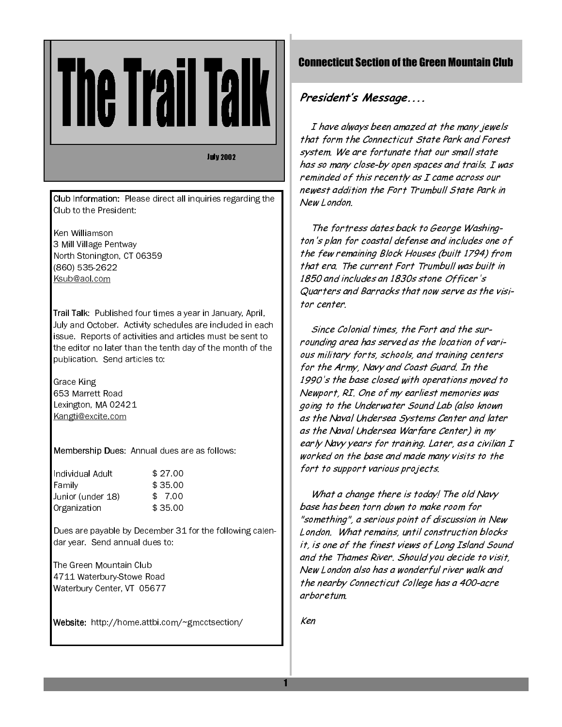**July 2002** 

Club Information: Please direct all inquiries regarding the Club to the President:

Ken Williamson 3 Mill Village Pentway North Stonington, CT 06359 (860) 535-2622 Ksub@aol.com

Trail Talk: Published four times a year in January, April, July and October. Activity schedules are included in each issue. Reports of activities and articles must be sent to the editor no later than the tenth day of the month of the publication. Send articles to:

Grace King 653 Marrett Road Lexington, MA 02421 Kangti@excite.com

Membership Dues: Annual dues are as follows:

| Individual Adult  | \$27.00 |
|-------------------|---------|
| Family            | \$35.00 |
| Junior (under 18) | \$7.00  |
| Organization      | \$35.00 |

Dues are payable by December 31 for the following calendar year Send annual dues to:

The Green Mountain Club 4711 Waterbury-Stowe Road Waterbury Center, VT 05677

Website: http://home.attbi.com/~gmcctsection/

# **Connecticut Section of the Green Mountain Club**

# President's Message....

I have always been amazed at the many jewels that form the Connecticut State Park and Forest system. We are fortunate that our small state has so many close-by open spaces and trails. I was reminded of this recently as I came across our newest addition the Fort Trumbull State Park in New London

The fortress dates back to George Washington's plan for coastal defense and includes one of the few remaining Block Houses (built 1794) from that era. The current Fort Trumbull was built in 1850 and includes an 1830s stone Officer's Quarters and Barracks that now serve as the visitor center

Since Colonial times, the Fort and the surrounding area has served as the location of various military forts, schools, and training centers for the Army, Navy and Coast Guard. In the 1990's the base closed with operations moved to Newport, RI. One of my earliest memories was going to the Underwater Sound Lab (also known as the Naval Undersea Systems Center and later as the Naval Undersea Warfare Center) in my early Navy years for training. Later, as a civilian I worked on the base and made many visits to the fort to support various projects.

What a change there is today! The old Navy base has been torn down to make room for "something", a serious point of discussion in New London. What remains, until construction blocks it, is one of the finest views of Long Island Sound and the Thames River. Should you decide to visit. New London also has a wonderful river walk and the nearby Connecticut College has a 400-acre arboretum.

Ken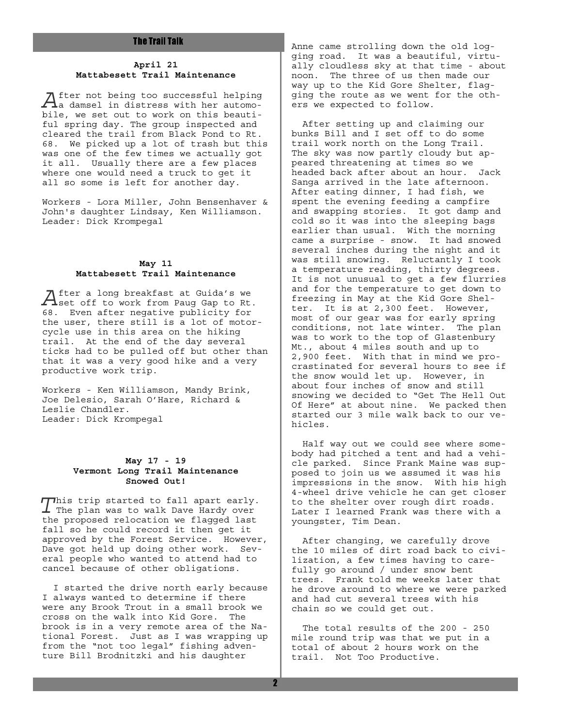#### **April 21 Mattabesett Trail Maintenance**

 $A$ fter not being too successful helping<br>a damsel in distress with her automobile, we set out to work on this beautiful spring day. The group inspected and cleared the trail from Black Pond to Rt. 68. We picked up a lot of trash but this was one of the few times we actually got it all. Usually there are a few places where one would need a truck to get it all so some is left for another day.

Workers - Lora Miller, John Bensenhaver & John's daughter Lindsay, Ken Williamson. Leader: Dick Krompegal

#### **May 11 Mattabesett Trail Maintenance**

 $A$  fter a long breakfast at Guida's we<br>Set off to work from Paug Gap to Rt. 68. Even after negative publicity for the user, there still is a lot of motorcycle use in this area on the hiking trail. At the end of the day several ticks had to be pulled off but other than that it was a very good hike and a very productive work trip.

Workers - Ken Williamson, Mandy Brink, Joe Delesio, Sarah O'Hare, Richard & Leslie Chandler. Leader: Dick Krompegal

#### **May 17 - 19 Vermont Long Trail Maintenance Snowed Out!**

This trip started to fall apart early.  $\boldsymbol{\perp}$  The plan was to walk Dave Hardy over the proposed relocation we flagged last fall so he could record it then get it approved by the Forest Service. However, Dave got held up doing other work. Several people who wanted to attend had to cancel because of other obligations.

 I started the drive north early because I always wanted to determine if there were any Brook Trout in a small brook we cross on the walk into Kid Gore. The brook is in a very remote area of the National Forest. Just as I was wrapping up from the "not too legal" fishing adventure Bill Brodnitzki and his daughter

Anne came strolling down the old logging road. It was a beautiful, virtually cloudless sky at that time - about noon. The three of us then made our way up to the Kid Gore Shelter, flagging the route as we went for the others we expected to follow.

 After setting up and claiming our bunks Bill and I set off to do some trail work north on the Long Trail. The sky was now partly cloudy but appeared threatening at times so we headed back after about an hour. Jack Sanga arrived in the late afternoon. After eating dinner, I had fish, we spent the evening feeding a campfire and swapping stories. It got damp and cold so it was into the sleeping bags earlier than usual. With the morning came a surprise - snow. It had snowed several inches during the night and it was still snowing. Reluctantly I took a temperature reading, thirty degrees. It is not unusual to get a few flurries and for the temperature to get down to freezing in May at the Kid Gore Shelter. It is at 2,300 feet. However, most of our gear was for early spring conditions, not late winter. The plan was to work to the top of Glastenbury Mt., about 4 miles south and up to 2,900 feet. With that in mind we procrastinated for several hours to see if the snow would let up. However, in about four inches of snow and still snowing we decided to "Get The Hell Out Of Here" at about nine. We packed then started our 3 mile walk back to our vehicles.

 Half way out we could see where somebody had pitched a tent and had a vehicle parked. Since Frank Maine was supposed to join us we assumed it was his impressions in the snow. With his high 4-wheel drive vehicle he can get closer to the shelter over rough dirt roads. Later I learned Frank was there with a youngster, Tim Dean.

 After changing, we carefully drove the 10 miles of dirt road back to civilization, a few times having to carefully go around / under snow bent trees. Frank told me weeks later that he drove around to where we were parked and had cut several trees with his chain so we could get out.

 The total results of the 200 - 250 mile round trip was that we put in a total of about 2 hours work on the trail. Not Too Productive.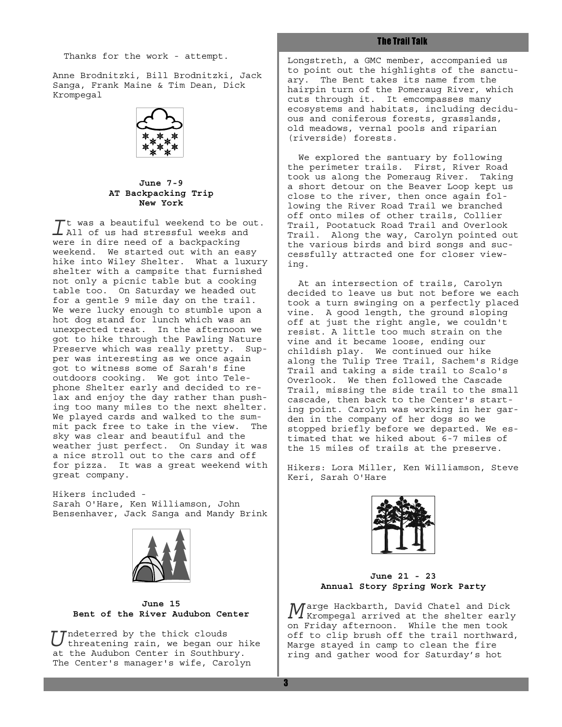Thanks for the work - attempt.

Anne Brodnitzki, Bill Brodnitzki, Jack Sanga, Frank Maine & Tim Dean, Dick Krompegal



**June 7-9 AT Backpacking Trip New York**

 $\overline{I}$ t was a beautiful weekend to be out.<br> $\overline{I}$  All of us had stressful weeks and were in dire need of a backpacking weekend. We started out with an easy hike into Wiley Shelter. What a luxury shelter with a campsite that furnished not only a picnic table but a cooking table too. On Saturday we headed out for a gentle 9 mile day on the trail. We were lucky enough to stumble upon a hot dog stand for lunch which was an unexpected treat. In the afternoon we got to hike through the Pawling Nature Preserve which was really pretty. Supper was interesting as we once again got to witness some of Sarah's fine outdoors cooking. We got into Telephone Shelter early and decided to relax and enjoy the day rather than pushing too many miles to the next shelter. We played cards and walked to the summit pack free to take in the view. The sky was clear and beautiful and the weather just perfect. On Sunday it was a nice stroll out to the cars and off for pizza. It was a great weekend with great company.

Hikers included - Sarah O'Hare, Ken Williamson, John Bensenhaver, Jack Sanga and Mandy Brink



**June 15 Bent of the River Audubon Center**

Undeterred by the thick clouds threatening rain, we began our hike at the Audubon Center in Southbury. The Center's manager's wife, Carolyn

# **The Trail Talk**

Longstreth, a GMC member, accompanied us to point out the highlights of the sanctuary. The Bent takes its name from the hairpin turn of the Pomeraug River, which cuts through it. It emcompasses many ecosystems and habitats, including deciduous and coniferous forests, grasslands, old meadows, vernal pools and riparian (riverside) forests.

 We explored the santuary by following the perimeter trails. First, River Road took us along the Pomeraug River. Taking a short detour on the Beaver Loop kept us close to the river, then once again following the River Road Trail we branched off onto miles of other trails, Collier Trail, Pootatuck Road Trail and Overlook Trail. Along the way, Carolyn pointed out the various birds and bird songs and successfully attracted one for closer viewing.

 At an intersection of trails, Carolyn decided to leave us but not before we each took a turn swinging on a perfectly placed vine. A good length, the ground sloping off at just the right angle, we couldn't resist. A little too much strain on the vine and it became loose, ending our childish play. We continued our hike along the Tulip Tree Trail, Sachem's Ridge Trail and taking a side trail to Scalo's Overlook. We then followed the Cascade Trail, missing the side trail to the small cascade, then back to the Center's starting point. Carolyn was working in her garden in the company of her dogs so we stopped briefly before we departed. We estimated that we hiked about 6-7 miles of the 15 miles of trails at the preserve.

Hikers: Lora Miller, Ken Williamson, Steve Keri, Sarah O'Hare



**June 21 - 23 Annual Story Spring Work Party**

 $M$ arge Hackbarth, David Chatel and Dick<br>Krompegal arrived at the shelter early on Friday afternoon. While the men took off to clip brush off the trail northward, Marge stayed in camp to clean the fire ring and gather wood for Saturday's hot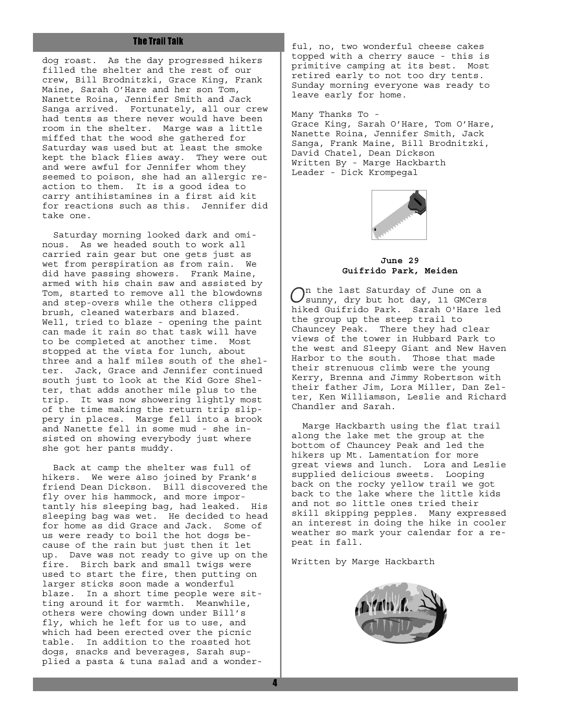dog roast. As the day progressed hikers filled the shelter and the rest of our crew, Bill Brodnitzki, Grace King, Frank Maine, Sarah O'Hare and her son Tom, Nanette Roina, Jennifer Smith and Jack Sanga arrived. Fortunately, all our crew had tents as there never would have been room in the shelter. Marge was a little miffed that the wood she gathered for Saturday was used but at least the smoke kept the black flies away. They were out and were awful for Jennifer whom they seemed to poison, she had an allergic reaction to them. It is a good idea to carry antihistamines in a first aid kit for reactions such as this. Jennifer did take one.

 Saturday morning looked dark and ominous. As we headed south to work all carried rain gear but one gets just as wet from perspiration as from rain. We did have passing showers. Frank Maine, armed with his chain saw and assisted by Tom, started to remove all the blowdowns and step-overs while the others clipped brush, cleaned waterbars and blazed. Well, tried to blaze - opening the paint can made it rain so that task will have to be completed at another time. Most stopped at the vista for lunch, about three and a half miles south of the shelter. Jack, Grace and Jennifer continued south just to look at the Kid Gore Shelter, that adds another mile plus to the trip. It was now showering lightly most of the time making the return trip slippery in places. Marge fell into a brook and Nanette fell in some mud - she insisted on showing everybody just where she got her pants muddy.

 Back at camp the shelter was full of hikers. We were also joined by Frank's friend Dean Dickson. Bill discovered the fly over his hammock, and more importantly his sleeping bag, had leaked. His sleeping bag was wet. He decided to head for home as did Grace and Jack. Some of us were ready to boil the hot dogs because of the rain but just then it let up. Dave was not ready to give up on the fire. Birch bark and small twigs were used to start the fire, then putting on larger sticks soon made a wonderful blaze. In a short time people were sitting around it for warmth. Meanwhile, others were chowing down under Bill's fly, which he left for us to use, and which had been erected over the picnic table. In addition to the roasted hot dogs, snacks and beverages, Sarah supplied a pasta & tuna salad and a wonder-

ful, no, two wonderful cheese cakes topped with a cherry sauce - this is primitive camping at its best. Most retired early to not too dry tents. Sunday morning everyone was ready to leave early for home.

Many Thanks To - Grace King, Sarah O'Hare, Tom O'Hare, Nanette Roina, Jennifer Smith, Jack Sanga, Frank Maine, Bill Brodnitzki, David Chatel, Dean Dickson

Written By - Marge Hackbarth Leader - Dick Krompegal



**June 29 Guifrido Park, Meiden**

On the last Saturday of June on a sunny, dry but hot day, 11 GMCers hiked Guifrido Park. Sarah O'Hare led the group up the steep trail to Chauncey Peak. There they had clear views of the tower in Hubbard Park to the west and Sleepy Giant and New Haven Harbor to the south. Those that made their strenuous climb were the young Kerry, Brenna and Jimmy Robertson with their father Jim, Lora Miller, Dan Zelter, Ken Williamson, Leslie and Richard Chandler and Sarah.

 Marge Hackbarth using the flat trail along the lake met the group at the bottom of Chauncey Peak and led the hikers up Mt. Lamentation for more great views and lunch. Lora and Leslie supplied delicious sweets. Looping back on the rocky yellow trail we got back to the lake where the little kids and not so little ones tried their skill skipping pepples. Many expressed an interest in doing the hike in cooler weather so mark your calendar for a repeat in fall.

Written by Marge Hackbarth

4

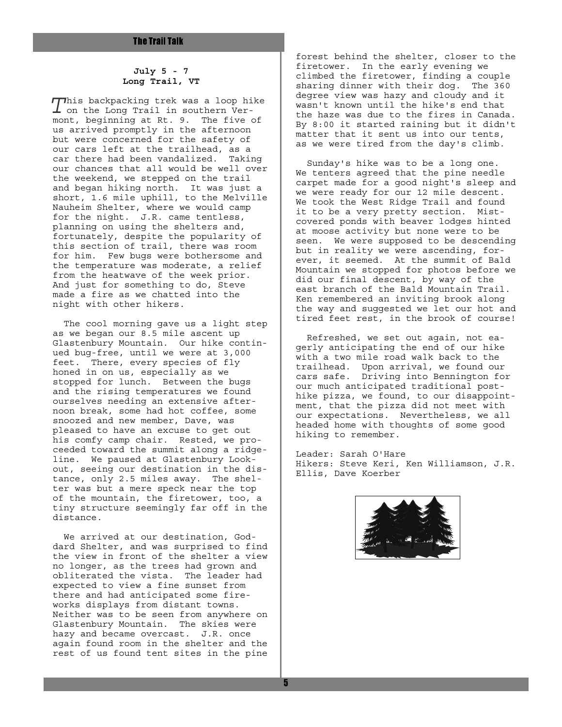### **July 5 - 7 Long Trail, VT**

This backpacking trek was a loop hike  $\perp$  on the Long Trail in southern Vermont, beginning at Rt. 9. The five of us arrived promptly in the afternoon but were concerned for the safety of our cars left at the trailhead, as a car there had been vandalized. Taking our chances that all would be well over the weekend, we stepped on the trail and began hiking north. It was just a short, 1.6 mile uphill, to the Melville Nauheim Shelter, where we would camp for the night. J.R. came tentless, planning on using the shelters and, fortunately, despite the popularity of this section of trail, there was room for him. Few bugs were bothersome and the temperature was moderate, a relief from the heatwave of the week prior. And just for something to do, Steve made a fire as we chatted into the night with other hikers.

 The cool morning gave us a light step as we began our 8.5 mile ascent up Glastenbury Mountain. Our hike continued bug-free, until we were at 3,000 feet. There, every species of fly honed in on us, especially as we stopped for lunch. Between the bugs and the rising temperatures we found ourselves needing an extensive afternoon break, some had hot coffee, some snoozed and new member, Dave, was pleased to have an excuse to get out his comfy camp chair. Rested, we proceeded toward the summit along a ridgeline. We paused at Glastenbury Lookout, seeing our destination in the distance, only 2.5 miles away. The shelter was but a mere speck near the top of the mountain, the firetower, too, a tiny structure seemingly far off in the distance.

 We arrived at our destination, Goddard Shelter, and was surprised to find the view in front of the shelter a view no longer, as the trees had grown and obliterated the vista. The leader had expected to view a fine sunset from there and had anticipated some fireworks displays from distant towns. Neither was to be seen from anywhere on Glastenbury Mountain. The skies were hazy and became overcast. J.R. once again found room in the shelter and the rest of us found tent sites in the pine

forest behind the shelter, closer to the firetower. In the early evening we climbed the firetower, finding a couple sharing dinner with their dog. The 360 degree view was hazy and cloudy and it wasn't known until the hike's end that the haze was due to the fires in Canada. By 8:00 it started raining but it didn't matter that it sent us into our tents, as we were tired from the day's climb.

 Sunday's hike was to be a long one. We tenters agreed that the pine needle carpet made for a good night's sleep and we were ready for our 12 mile descent. We took the West Ridge Trail and found it to be a very pretty section. Mistcovered ponds with beaver lodges hinted at moose activity but none were to be seen. We were supposed to be descending but in reality we were ascending, forever, it seemed. At the summit of Bald Mountain we stopped for photos before we did our final descent, by way of the east branch of the Bald Mountain Trail. Ken remembered an inviting brook along the way and suggested we let our hot and tired feet rest, in the brook of course!

 Refreshed, we set out again, not eagerly anticipating the end of our hike with a two mile road walk back to the trailhead. Upon arrival, we found our cars safe. Driving into Bennington for our much anticipated traditional posthike pizza, we found, to our disappointment, that the pizza did not meet with our expectations. Nevertheless, we all headed home with thoughts of some good hiking to remember.

Leader: Sarah O'Hare Hikers: Steve Keri, Ken Williamson, J.R. Ellis, Dave Koerber